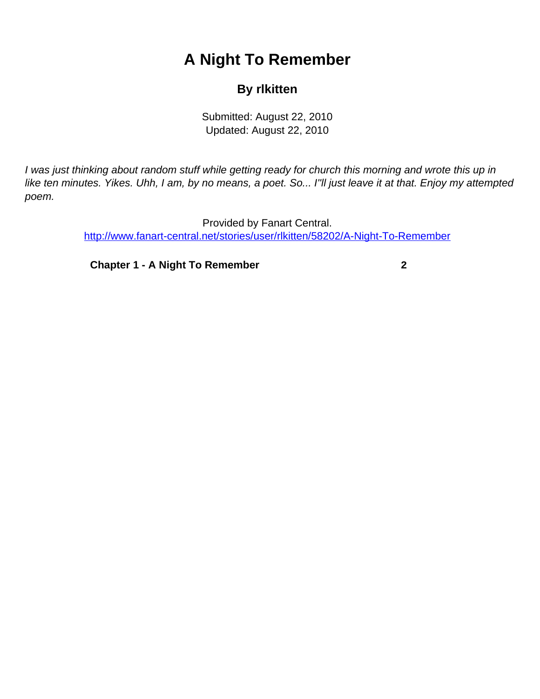## **A Night To Remember**

## **By rlkitten**

Submitted: August 22, 2010 Updated: August 22, 2010

<span id="page-0-0"></span>I was just thinking about random stuff while getting ready for church this morning and wrote this up in like ten minutes. Yikes. Uhh, I am, by no means, a poet. So... I''ll just leave it at that. Enjoy my attempted poem.

> Provided by Fanart Central. [http://www.fanart-central.net/stories/user/rlkitten/58202/A-Night-To-Remember](#page-0-0)

**[Chapter 1 - A Night To Remember](#page-1-0) [2](#page-1-0)**